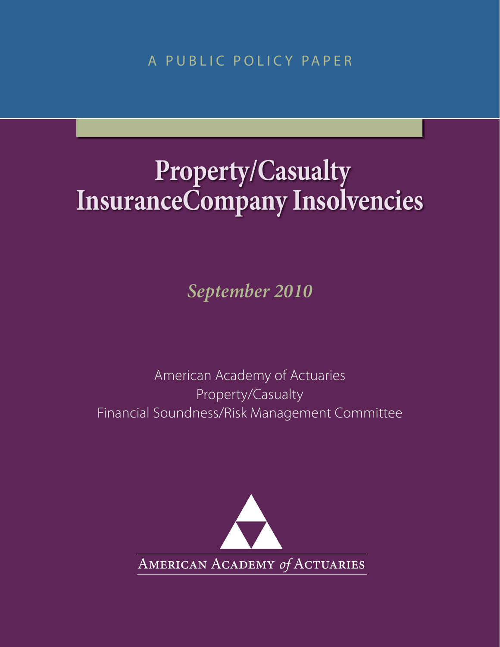A PUBLIC POLICY PAPER

# **Property/Casualty InsuranceCompany Insolvencies**

*September 2010*

American Academy of Actuaries Property/Casualty Financial Soundness/Risk Management Committee

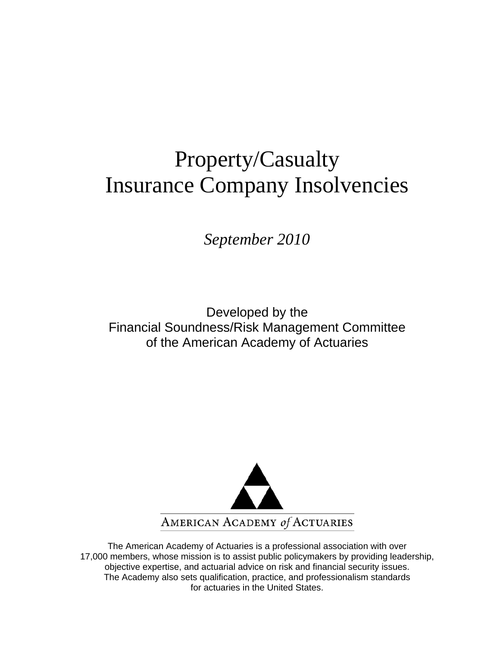# Property/Casualty Insurance Company Insolvencies

*September 2010* 

Developed by the Financial Soundness/Risk Management Committee of the American Academy of Actuaries



The American Academy of Actuaries is a professional association with over 17,000 members, whose mission is to assist public policymakers by providing leadership, objective expertise, and actuarial advice on risk and financial security issues. The Academy also sets qualification, practice, and professionalism standards for actuaries in the United States.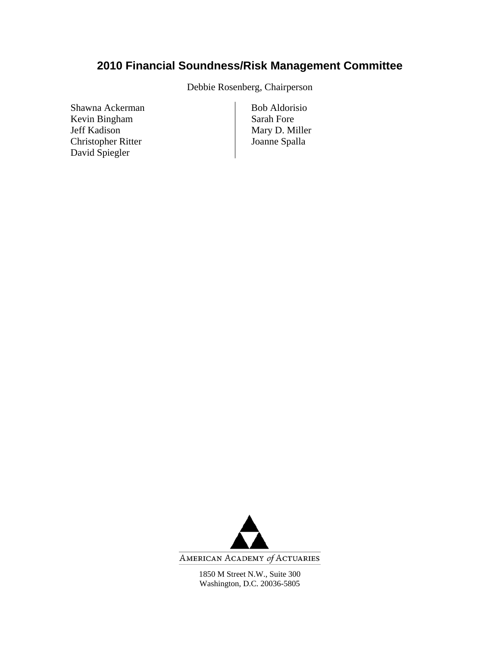## **2010 Financial Soundness/Risk Management Committee**

Debbie Rosenberg, Chairperson

Shawna Ackerman Bob Aldorisio Kevin Bingham Sarah Fore Jeff Kadison<br>
Christopher Ritter<br>
Christopher Ritter<br>
Christopher Ritter<br>
Christopher Ritter<br>
Christopher Ritter<br>
Christopher Ritter<br>
Christopher Ritter<br>
Christopher Ritter<br>
Christopher Ritter<br>
Christopher Ritter<br>
Christop Christopher Ritter David Spiegler



AMERICAN ACADEMY of ACTUARIES

1850 M Street N.W., Suite 300 Washington, D.C. 20036-5805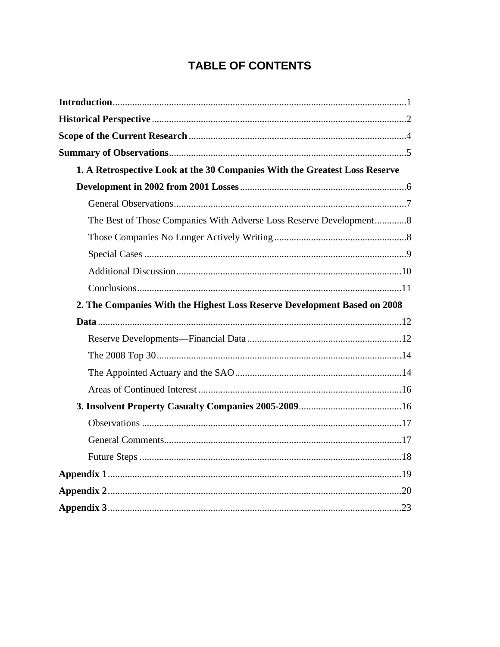## **TABLE OF CONTENTS**

| 1. A Retrospective Look at the 30 Companies With the Greatest Loss Reserve |  |
|----------------------------------------------------------------------------|--|
|                                                                            |  |
|                                                                            |  |
| The Best of Those Companies With Adverse Loss Reserve Development8         |  |
|                                                                            |  |
|                                                                            |  |
|                                                                            |  |
|                                                                            |  |
| 2. The Companies With the Highest Loss Reserve Development Based on 2008   |  |
|                                                                            |  |
|                                                                            |  |
|                                                                            |  |
|                                                                            |  |
|                                                                            |  |
|                                                                            |  |
|                                                                            |  |
|                                                                            |  |
|                                                                            |  |
|                                                                            |  |
|                                                                            |  |
|                                                                            |  |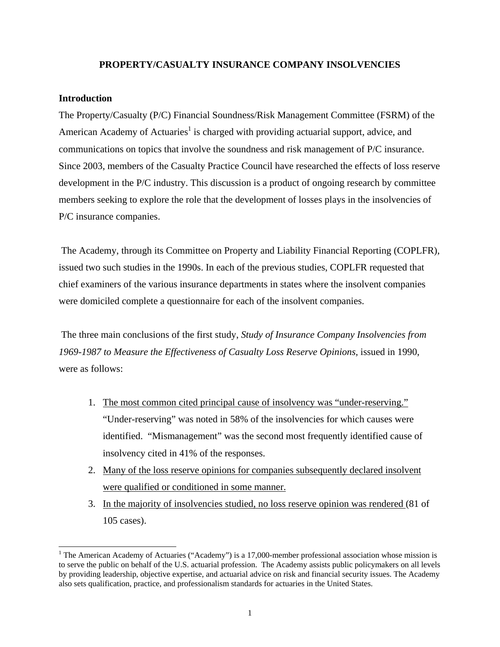#### **PROPERTY/CASUALTY INSURANCE COMPANY INSOLVENCIES**

#### **Introduction**

 $\overline{a}$ 

The Property/Casualty (P/C) Financial Soundness/Risk Management Committee (FSRM) of the American Academy of Actuaries<sup>1</sup> is charged with providing actuarial support, advice, and communications on topics that involve the soundness and risk management of P/C insurance. Since 2003, members of the Casualty Practice Council have researched the effects of loss reserve development in the P/C industry. This discussion is a product of ongoing research by committee members seeking to explore the role that the development of losses plays in the insolvencies of P/C insurance companies.

 The Academy, through its Committee on Property and Liability Financial Reporting (COPLFR), issued two such studies in the 1990s. In each of the previous studies, COPLFR requested that chief examiners of the various insurance departments in states where the insolvent companies were domiciled complete a questionnaire for each of the insolvent companies.

 The three main conclusions of the first study, *Study of Insurance Company Insolvencies from 1969-1987 to Measure the Effectiveness of Casualty Loss Reserve Opinions*, issued in 1990, were as follows:

- 1. The most common cited principal cause of insolvency was "under-reserving." "Under-reserving" was noted in 58% of the insolvencies for which causes were identified. "Mismanagement" was the second most frequently identified cause of insolvency cited in 41% of the responses.
- 2. Many of the loss reserve opinions for companies subsequently declared insolvent were qualified or conditioned in some manner.
- 3. In the majority of insolvencies studied, no loss reserve opinion was rendered (81 of 105 cases).

<sup>&</sup>lt;sup>1</sup> The American Academy of Actuaries ("Academy") is a 17,000-member professional association whose mission is to serve the public on behalf of the U.S. actuarial profession. The Academy assists public policymakers on all levels by providing leadership, objective expertise, and actuarial advice on risk and financial security issues. The Academy also sets qualification, practice, and professionalism standards for actuaries in the United States.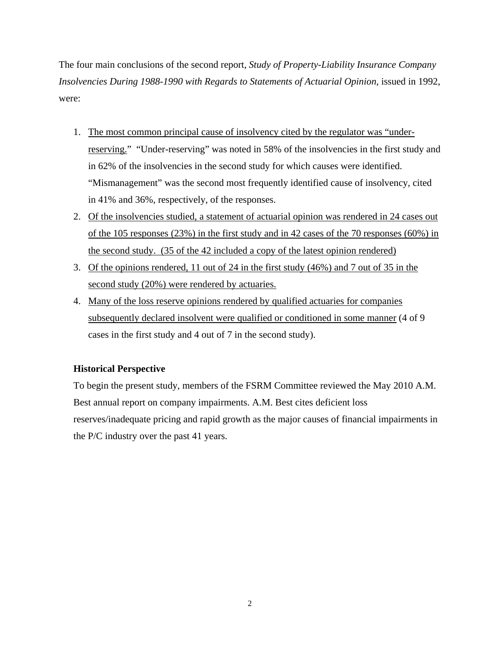The four main conclusions of the second report, *Study of Property-Liability Insurance Company Insolvencies During 1988-1990 with Regards to Statements of Actuarial Opinion*, issued in 1992, were:

- 1. The most common principal cause of insolvency cited by the regulator was "underreserving." "Under-reserving" was noted in 58% of the insolvencies in the first study and in 62% of the insolvencies in the second study for which causes were identified. "Mismanagement" was the second most frequently identified cause of insolvency, cited in 41% and 36%, respectively, of the responses.
- 2. Of the insolvencies studied, a statement of actuarial opinion was rendered in 24 cases out of the 105 responses (23%) in the first study and in 42 cases of the 70 responses (60%) in the second study. (35 of the 42 included a copy of the latest opinion rendered)
- 3. Of the opinions rendered, 11 out of 24 in the first study (46%) and 7 out of 35 in the second study (20%) were rendered by actuaries.
- 4. Many of the loss reserve opinions rendered by qualified actuaries for companies subsequently declared insolvent were qualified or conditioned in some manner (4 of 9 cases in the first study and 4 out of 7 in the second study).

#### **Historical Perspective**

To begin the present study, members of the FSRM Committee reviewed the May 2010 A.M. Best annual report on company impairments. A.M. Best cites deficient loss reserves/inadequate pricing and rapid growth as the major causes of financial impairments in the P/C industry over the past 41 years.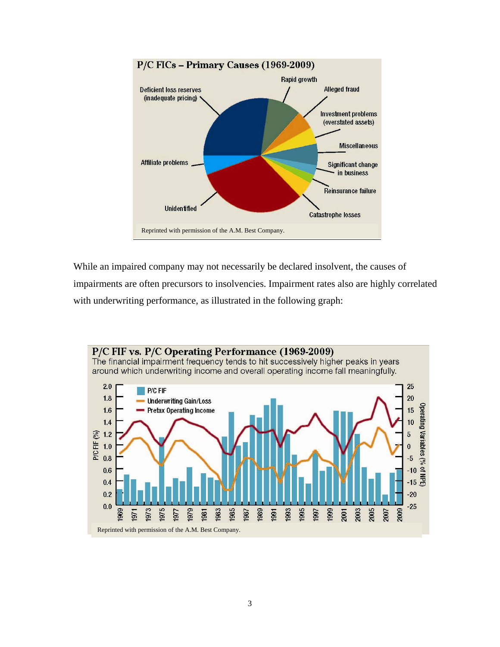

While an impaired company may not necessarily be declared insolvent, the causes of impairments are often precursors to insolvencies. Impairment rates also are highly correlated with underwriting performance, as illustrated in the following graph:

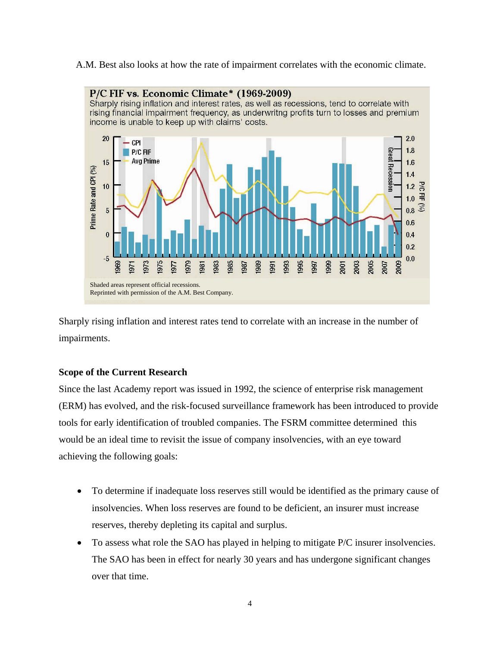A.M. Best also looks at how the rate of impairment correlates with the economic climate.



Sharply rising inflation and interest rates tend to correlate with an increase in the number of impairments.

#### **Scope of the Current Research**

Since the last Academy report was issued in 1992, the science of enterprise risk management (ERM) has evolved, and the risk-focused surveillance framework has been introduced to provide tools for early identification of troubled companies. The FSRM committee determined this would be an ideal time to revisit the issue of company insolvencies, with an eye toward achieving the following goals:

- To determine if inadequate loss reserves still would be identified as the primary cause of insolvencies. When loss reserves are found to be deficient, an insurer must increase reserves, thereby depleting its capital and surplus.
- To assess what role the SAO has played in helping to mitigate P/C insurer insolvencies. The SAO has been in effect for nearly 30 years and has undergone significant changes over that time.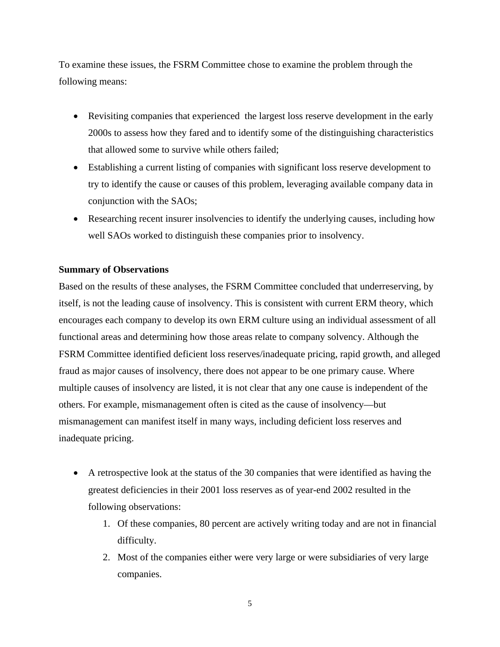To examine these issues, the FSRM Committee chose to examine the problem through the following means:

- Revisiting companies that experienced the largest loss reserve development in the early 2000s to assess how they fared and to identify some of the distinguishing characteristics that allowed some to survive while others failed;
- Establishing a current listing of companies with significant loss reserve development to try to identify the cause or causes of this problem, leveraging available company data in conjunction with the SAOs;
- Researching recent insurer insolvencies to identify the underlying causes, including how well SAOs worked to distinguish these companies prior to insolvency.

#### **Summary of Observations**

Based on the results of these analyses, the FSRM Committee concluded that underreserving, by itself, is not the leading cause of insolvency. This is consistent with current ERM theory, which encourages each company to develop its own ERM culture using an individual assessment of all functional areas and determining how those areas relate to company solvency. Although the FSRM Committee identified deficient loss reserves/inadequate pricing, rapid growth, and alleged fraud as major causes of insolvency, there does not appear to be one primary cause. Where multiple causes of insolvency are listed, it is not clear that any one cause is independent of the others. For example, mismanagement often is cited as the cause of insolvency—but mismanagement can manifest itself in many ways, including deficient loss reserves and inadequate pricing.

- A retrospective look at the status of the 30 companies that were identified as having the greatest deficiencies in their 2001 loss reserves as of year-end 2002 resulted in the following observations:
	- 1. Of these companies, 80 percent are actively writing today and are not in financial difficulty.
	- 2. Most of the companies either were very large or were subsidiaries of very large companies.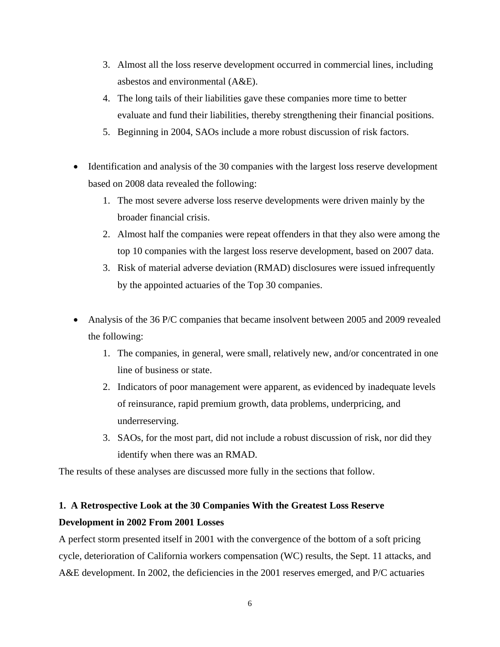- 3. Almost all the loss reserve development occurred in commercial lines, including asbestos and environmental (A&E).
- 4. The long tails of their liabilities gave these companies more time to better evaluate and fund their liabilities, thereby strengthening their financial positions.
- 5. Beginning in 2004, SAOs include a more robust discussion of risk factors.
- Identification and analysis of the 30 companies with the largest loss reserve development based on 2008 data revealed the following:
	- 1. The most severe adverse loss reserve developments were driven mainly by the broader financial crisis.
	- 2. Almost half the companies were repeat offenders in that they also were among the top 10 companies with the largest loss reserve development, based on 2007 data.
	- 3. Risk of material adverse deviation (RMAD) disclosures were issued infrequently by the appointed actuaries of the Top 30 companies.
- Analysis of the 36 P/C companies that became insolvent between 2005 and 2009 revealed the following:
	- 1. The companies, in general, were small, relatively new, and/or concentrated in one line of business or state.
	- 2. Indicators of poor management were apparent, as evidenced by inadequate levels of reinsurance, rapid premium growth, data problems, underpricing, and underreserving.
	- 3. SAOs, for the most part, did not include a robust discussion of risk, nor did they identify when there was an RMAD.

The results of these analyses are discussed more fully in the sections that follow.

### **1. A Retrospective Look at the 30 Companies With the Greatest Loss Reserve Development in 2002 From 2001 Losses**

A perfect storm presented itself in 2001 with the convergence of the bottom of a soft pricing cycle, deterioration of California workers compensation (WC) results, the Sept. 11 attacks, and A&E development. In 2002, the deficiencies in the 2001 reserves emerged, and P/C actuaries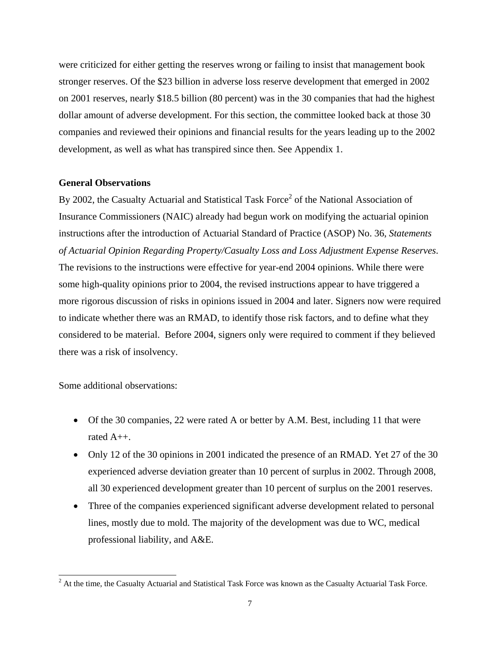were criticized for either getting the reserves wrong or failing to insist that management book stronger reserves. Of the \$23 billion in adverse loss reserve development that emerged in 2002 on 2001 reserves, nearly \$18.5 billion (80 percent) was in the 30 companies that had the highest dollar amount of adverse development. For this section, the committee looked back at those 30 companies and reviewed their opinions and financial results for the years leading up to the 2002 development, as well as what has transpired since then. See Appendix 1.

#### **General Observations**

By 2002, the Casualty Actuarial and Statistical Task Force<sup>2</sup> of the National Association of Insurance Commissioners (NAIC) already had begun work on modifying the actuarial opinion instructions after the introduction of Actuarial Standard of Practice (ASOP) No. 36, *Statements of Actuarial Opinion Regarding Property/Casualty Loss and Loss Adjustment Expense Reserves*. The revisions to the instructions were effective for year-end 2004 opinions. While there were some high-quality opinions prior to 2004, the revised instructions appear to have triggered a more rigorous discussion of risks in opinions issued in 2004 and later. Signers now were required to indicate whether there was an RMAD, to identify those risk factors, and to define what they considered to be material. Before 2004, signers only were required to comment if they believed there was a risk of insolvency.

Some additional observations:

 $\overline{a}$ 

- Of the 30 companies, 22 were rated A or better by A.M. Best, including 11 that were rated A++.
- Only 12 of the 30 opinions in 2001 indicated the presence of an RMAD. Yet 27 of the 30 experienced adverse deviation greater than 10 percent of surplus in 2002. Through 2008, all 30 experienced development greater than 10 percent of surplus on the 2001 reserves.
- Three of the companies experienced significant adverse development related to personal lines, mostly due to mold. The majority of the development was due to WC, medical professional liability, and A&E.

 $2<sup>2</sup>$  At the time, the Casualty Actuarial and Statistical Task Force was known as the Casualty Actuarial Task Force.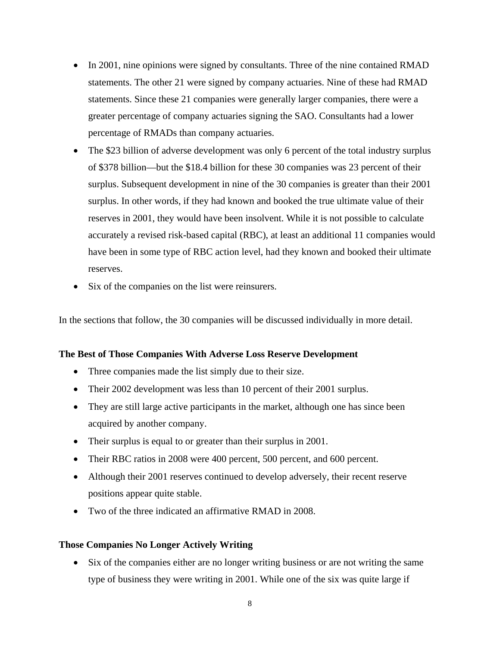- In 2001, nine opinions were signed by consultants. Three of the nine contained RMAD statements. The other 21 were signed by company actuaries. Nine of these had RMAD statements. Since these 21 companies were generally larger companies, there were a greater percentage of company actuaries signing the SAO. Consultants had a lower percentage of RMADs than company actuaries.
- The \$23 billion of adverse development was only 6 percent of the total industry surplus of \$378 billion—but the \$18.4 billion for these 30 companies was 23 percent of their surplus. Subsequent development in nine of the 30 companies is greater than their 2001 surplus. In other words, if they had known and booked the true ultimate value of their reserves in 2001, they would have been insolvent. While it is not possible to calculate accurately a revised risk-based capital (RBC), at least an additional 11 companies would have been in some type of RBC action level, had they known and booked their ultimate reserves.
- Six of the companies on the list were reinsurers.

In the sections that follow, the 30 companies will be discussed individually in more detail.

#### **The Best of Those Companies With Adverse Loss Reserve Development**

- Three companies made the list simply due to their size.
- Their 2002 development was less than 10 percent of their 2001 surplus.
- They are still large active participants in the market, although one has since been acquired by another company.
- Their surplus is equal to or greater than their surplus in 2001.
- Their RBC ratios in 2008 were 400 percent, 500 percent, and 600 percent.
- Although their 2001 reserves continued to develop adversely, their recent reserve positions appear quite stable.
- Two of the three indicated an affirmative RMAD in 2008.

#### **Those Companies No Longer Actively Writing**

 Six of the companies either are no longer writing business or are not writing the same type of business they were writing in 2001. While one of the six was quite large if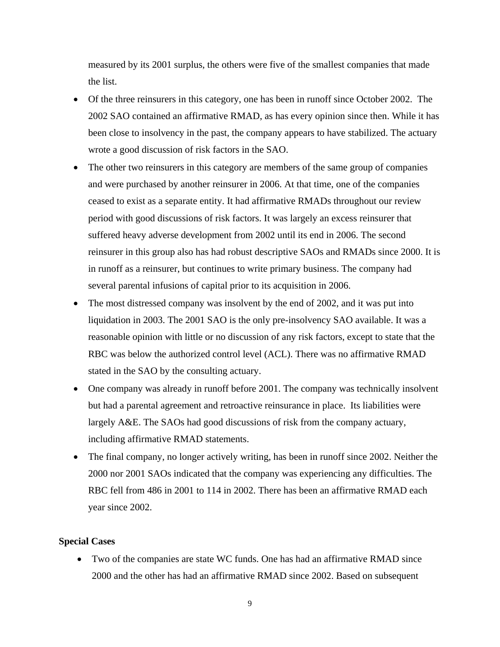measured by its 2001 surplus, the others were five of the smallest companies that made the list.

- Of the three reinsurers in this category, one has been in runoff since October 2002. The 2002 SAO contained an affirmative RMAD, as has every opinion since then. While it has been close to insolvency in the past, the company appears to have stabilized. The actuary wrote a good discussion of risk factors in the SAO.
- The other two reinsurers in this category are members of the same group of companies and were purchased by another reinsurer in 2006. At that time, one of the companies ceased to exist as a separate entity. It had affirmative RMADs throughout our review period with good discussions of risk factors. It was largely an excess reinsurer that suffered heavy adverse development from 2002 until its end in 2006. The second reinsurer in this group also has had robust descriptive SAOs and RMADs since 2000. It is in runoff as a reinsurer, but continues to write primary business. The company had several parental infusions of capital prior to its acquisition in 2006.
- The most distressed company was insolvent by the end of 2002, and it was put into liquidation in 2003. The 2001 SAO is the only pre-insolvency SAO available. It was a reasonable opinion with little or no discussion of any risk factors, except to state that the RBC was below the authorized control level (ACL). There was no affirmative RMAD stated in the SAO by the consulting actuary.
- One company was already in runoff before 2001. The company was technically insolvent but had a parental agreement and retroactive reinsurance in place. Its liabilities were largely A&E. The SAOs had good discussions of risk from the company actuary, including affirmative RMAD statements.
- The final company, no longer actively writing, has been in runoff since 2002. Neither the 2000 nor 2001 SAOs indicated that the company was experiencing any difficulties. The RBC fell from 486 in 2001 to 114 in 2002. There has been an affirmative RMAD each year since 2002.

#### **Special Cases**

 Two of the companies are state WC funds. One has had an affirmative RMAD since 2000 and the other has had an affirmative RMAD since 2002. Based on subsequent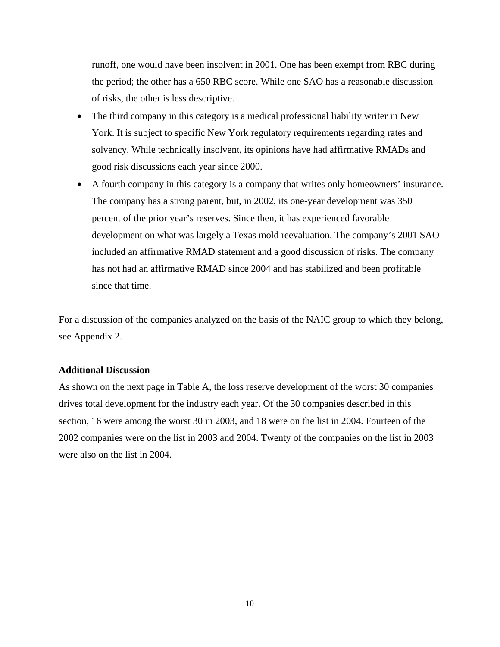runoff, one would have been insolvent in 2001. One has been exempt from RBC during the period; the other has a 650 RBC score. While one SAO has a reasonable discussion of risks, the other is less descriptive.

- The third company in this category is a medical professional liability writer in New York. It is subject to specific New York regulatory requirements regarding rates and solvency. While technically insolvent, its opinions have had affirmative RMADs and good risk discussions each year since 2000.
- A fourth company in this category is a company that writes only homeowners' insurance. The company has a strong parent, but, in 2002, its one-year development was 350 percent of the prior year's reserves. Since then, it has experienced favorable development on what was largely a Texas mold reevaluation. The company's 2001 SAO included an affirmative RMAD statement and a good discussion of risks. The company has not had an affirmative RMAD since 2004 and has stabilized and been profitable since that time.

For a discussion of the companies analyzed on the basis of the NAIC group to which they belong, see Appendix 2.

#### **Additional Discussion**

As shown on the next page in Table A, the loss reserve development of the worst 30 companies drives total development for the industry each year. Of the 30 companies described in this section, 16 were among the worst 30 in 2003, and 18 were on the list in 2004. Fourteen of the 2002 companies were on the list in 2003 and 2004. Twenty of the companies on the list in 2003 were also on the list in 2004.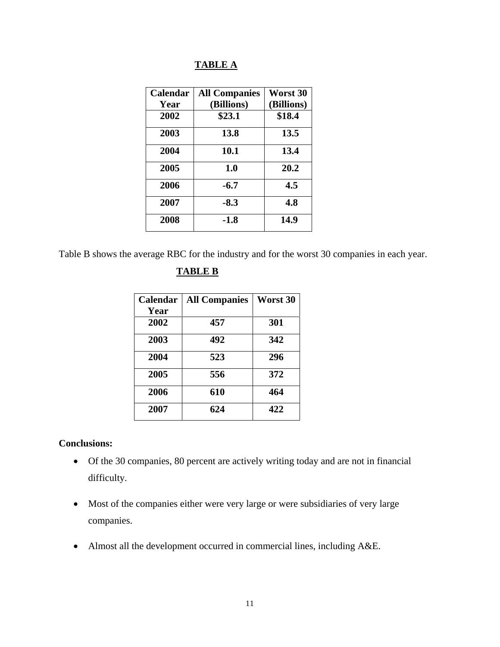#### **TABLE A**

| Calendar | <b>All Companies</b> | Worst 30   |
|----------|----------------------|------------|
| Year     | (Billions)           | (Billions) |
| 2002     | \$23.1               | \$18.4     |
| 2003     | 13.8                 | 13.5       |
| 2004     | 10.1                 | 13.4       |
| 2005     | 1.0                  | 20.2       |
| 2006     | $-6.7$               | 4.5        |
| 2007     | $-8.3$               | 4.8        |
| 2008     | -1.8                 | 14.9       |

Table B shows the average RBC for the industry and for the worst 30 companies in each year.

#### **TABLE B**

| Calendar | <b>All Companies</b> | Worst 30 |
|----------|----------------------|----------|
| Year     |                      |          |
| 2002     | 457                  | 301      |
| 2003     | 492                  | 342      |
| 2004     | 523                  | 296      |
| 2005     | 556                  | 372      |
| 2006     | 610                  | 464      |
| 2007     | 624                  | 422      |

#### **Conclusions:**

- Of the 30 companies, 80 percent are actively writing today and are not in financial difficulty.
- Most of the companies either were very large or were subsidiaries of very large companies.
- Almost all the development occurred in commercial lines, including A&E.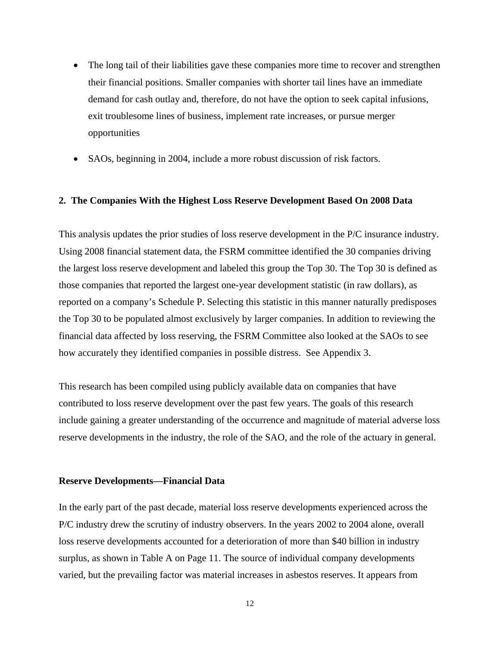- The long tail of their liabilities gave these companies more time to recover and strengthen their financial positions. Smaller companies with shorter tail lines have an immediate demand for cash outlay and, therefore, do not have the option to seek capital infusions, exit troublesome lines of business, implement rate increases, or pursue merger opportunities
- SAOs, beginning in 2004, include a more robust discussion of risk factors.

#### **2. The Companies With the Highest Loss Reserve Development Based On 2008 Data**

This analysis updates the prior studies of loss reserve development in the P/C insurance industry. Using 2008 financial statement data, the FSRM committee identified the 30 companies driving the largest loss reserve development and labeled this group the Top 30. The Top 30 is defined as those companies that reported the largest one-year development statistic (in raw dollars), as reported on a company's Schedule P. Selecting this statistic in this manner naturally predisposes the Top 30 to be populated almost exclusively by larger companies. In addition to reviewing the financial data affected by loss reserving, the FSRM Committee also looked at the SAOs to see how accurately they identified companies in possible distress. See Appendix 3.

This research has been compiled using publicly available data on companies that have contributed to loss reserve development over the past few years. The goals of this research include gaining a greater understanding of the occurrence and magnitude of material adverse loss reserve developments in the industry, the role of the SAO, and the role of the actuary in general.

#### **Reserve Developments—Financial Data**

In the early part of the past decade, material loss reserve developments experienced across the P/C industry drew the scrutiny of industry observers. In the years 2002 to 2004 alone, overall loss reserve developments accounted for a deterioration of more than \$40 billion in industry surplus, as shown in Table A on Page 11. The source of individual company developments varied, but the prevailing factor was material increases in asbestos reserves. It appears from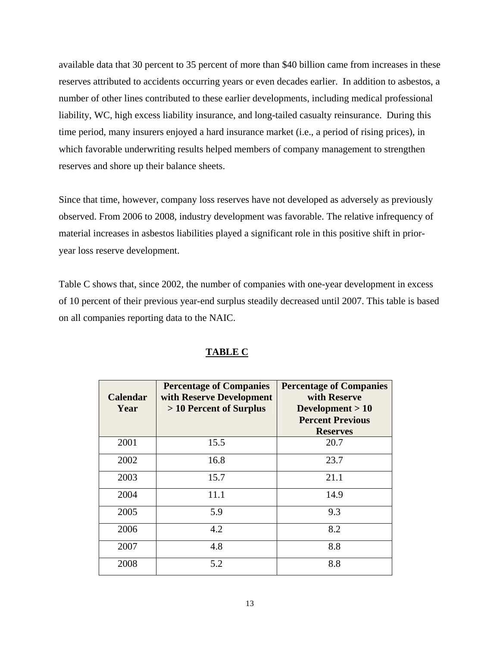available data that 30 percent to 35 percent of more than \$40 billion came from increases in these reserves attributed to accidents occurring years or even decades earlier. In addition to asbestos, a number of other lines contributed to these earlier developments, including medical professional liability, WC, high excess liability insurance, and long-tailed casualty reinsurance. During this time period, many insurers enjoyed a hard insurance market (i.e., a period of rising prices), in which favorable underwriting results helped members of company management to strengthen reserves and shore up their balance sheets.

Since that time, however, company loss reserves have not developed as adversely as previously observed. From 2006 to 2008, industry development was favorable. The relative infrequency of material increases in asbestos liabilities played a significant role in this positive shift in prioryear loss reserve development.

Table C shows that, since 2002, the number of companies with one-year development in excess of 10 percent of their previous year-end surplus steadily decreased until 2007. This table is based on all companies reporting data to the NAIC.

| <b>Calendar</b><br>Year | <b>Percentage of Companies</b><br>with Reserve Development<br>> 10 Percent of Surplus | <b>Percentage of Companies</b><br>with Reserve<br>Development $>10$<br><b>Percent Previous</b><br><b>Reserves</b> |
|-------------------------|---------------------------------------------------------------------------------------|-------------------------------------------------------------------------------------------------------------------|
| 2001                    | 15.5                                                                                  | 20.7                                                                                                              |
| 2002                    | 16.8                                                                                  | 23.7                                                                                                              |
| 2003                    | 15.7                                                                                  | 21.1                                                                                                              |
| 2004                    | 11.1                                                                                  | 14.9                                                                                                              |
| 2005                    | 5.9                                                                                   | 9.3                                                                                                               |
| 2006                    | 4.2                                                                                   | 8.2                                                                                                               |
| 2007                    | 4.8                                                                                   | 8.8                                                                                                               |
| 2008                    | 5.2                                                                                   | 8.8                                                                                                               |

#### **TABLE C**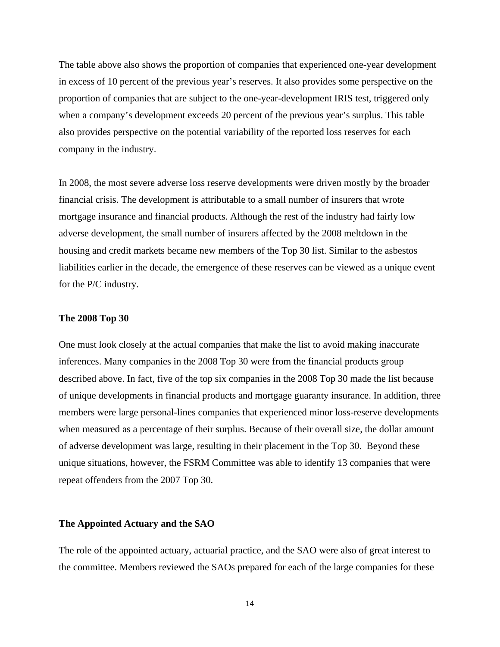The table above also shows the proportion of companies that experienced one-year development in excess of 10 percent of the previous year's reserves. It also provides some perspective on the proportion of companies that are subject to the one-year-development IRIS test, triggered only when a company's development exceeds 20 percent of the previous year's surplus. This table also provides perspective on the potential variability of the reported loss reserves for each company in the industry.

In 2008, the most severe adverse loss reserve developments were driven mostly by the broader financial crisis. The development is attributable to a small number of insurers that wrote mortgage insurance and financial products. Although the rest of the industry had fairly low adverse development, the small number of insurers affected by the 2008 meltdown in the housing and credit markets became new members of the Top 30 list. Similar to the asbestos liabilities earlier in the decade, the emergence of these reserves can be viewed as a unique event for the P/C industry.

#### **The 2008 Top 30**

One must look closely at the actual companies that make the list to avoid making inaccurate inferences. Many companies in the 2008 Top 30 were from the financial products group described above. In fact, five of the top six companies in the 2008 Top 30 made the list because of unique developments in financial products and mortgage guaranty insurance. In addition, three members were large personal-lines companies that experienced minor loss-reserve developments when measured as a percentage of their surplus. Because of their overall size, the dollar amount of adverse development was large, resulting in their placement in the Top 30. Beyond these unique situations, however, the FSRM Committee was able to identify 13 companies that were repeat offenders from the 2007 Top 30.

#### **The Appointed Actuary and the SAO**

The role of the appointed actuary, actuarial practice, and the SAO were also of great interest to the committee. Members reviewed the SAOs prepared for each of the large companies for these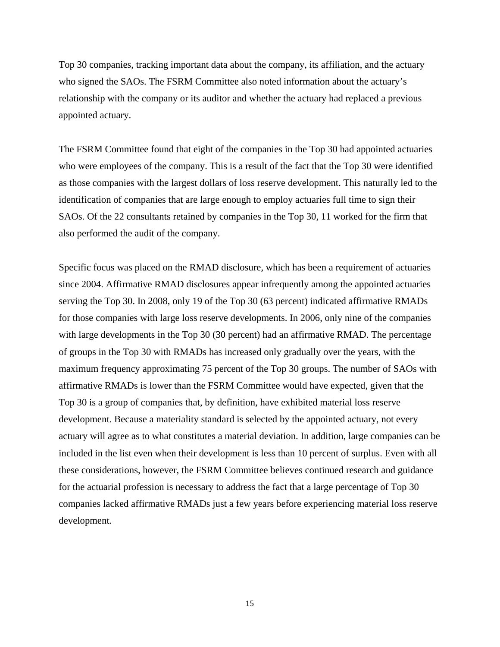Top 30 companies, tracking important data about the company, its affiliation, and the actuary who signed the SAOs. The FSRM Committee also noted information about the actuary's relationship with the company or its auditor and whether the actuary had replaced a previous appointed actuary.

The FSRM Committee found that eight of the companies in the Top 30 had appointed actuaries who were employees of the company. This is a result of the fact that the Top 30 were identified as those companies with the largest dollars of loss reserve development. This naturally led to the identification of companies that are large enough to employ actuaries full time to sign their SAOs. Of the 22 consultants retained by companies in the Top 30, 11 worked for the firm that also performed the audit of the company.

Specific focus was placed on the RMAD disclosure, which has been a requirement of actuaries since 2004. Affirmative RMAD disclosures appear infrequently among the appointed actuaries serving the Top 30. In 2008, only 19 of the Top 30 (63 percent) indicated affirmative RMADs for those companies with large loss reserve developments. In 2006, only nine of the companies with large developments in the Top 30 (30 percent) had an affirmative RMAD. The percentage of groups in the Top 30 with RMADs has increased only gradually over the years, with the maximum frequency approximating 75 percent of the Top 30 groups. The number of SAOs with affirmative RMADs is lower than the FSRM Committee would have expected, given that the Top 30 is a group of companies that, by definition, have exhibited material loss reserve development. Because a materiality standard is selected by the appointed actuary, not every actuary will agree as to what constitutes a material deviation. In addition, large companies can be included in the list even when their development is less than 10 percent of surplus. Even with all these considerations, however, the FSRM Committee believes continued research and guidance for the actuarial profession is necessary to address the fact that a large percentage of Top 30 companies lacked affirmative RMADs just a few years before experiencing material loss reserve development.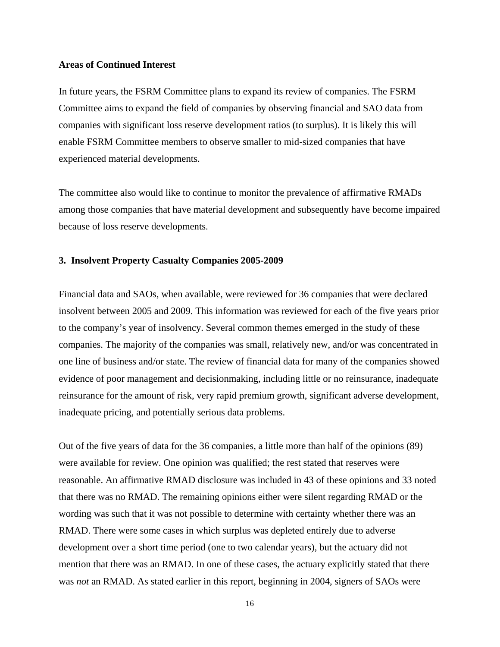#### **Areas of Continued Interest**

In future years, the FSRM Committee plans to expand its review of companies. The FSRM Committee aims to expand the field of companies by observing financial and SAO data from companies with significant loss reserve development ratios (to surplus). It is likely this will enable FSRM Committee members to observe smaller to mid-sized companies that have experienced material developments.

The committee also would like to continue to monitor the prevalence of affirmative RMADs among those companies that have material development and subsequently have become impaired because of loss reserve developments.

#### **3. Insolvent Property Casualty Companies 2005-2009**

Financial data and SAOs, when available, were reviewed for 36 companies that were declared insolvent between 2005 and 2009. This information was reviewed for each of the five years prior to the company's year of insolvency. Several common themes emerged in the study of these companies. The majority of the companies was small, relatively new, and/or was concentrated in one line of business and/or state. The review of financial data for many of the companies showed evidence of poor management and decisionmaking, including little or no reinsurance, inadequate reinsurance for the amount of risk, very rapid premium growth, significant adverse development, inadequate pricing, and potentially serious data problems.

Out of the five years of data for the 36 companies, a little more than half of the opinions (89) were available for review. One opinion was qualified; the rest stated that reserves were reasonable. An affirmative RMAD disclosure was included in 43 of these opinions and 33 noted that there was no RMAD. The remaining opinions either were silent regarding RMAD or the wording was such that it was not possible to determine with certainty whether there was an RMAD. There were some cases in which surplus was depleted entirely due to adverse development over a short time period (one to two calendar years), but the actuary did not mention that there was an RMAD. In one of these cases, the actuary explicitly stated that there was *not* an RMAD. As stated earlier in this report, beginning in 2004, signers of SAOs were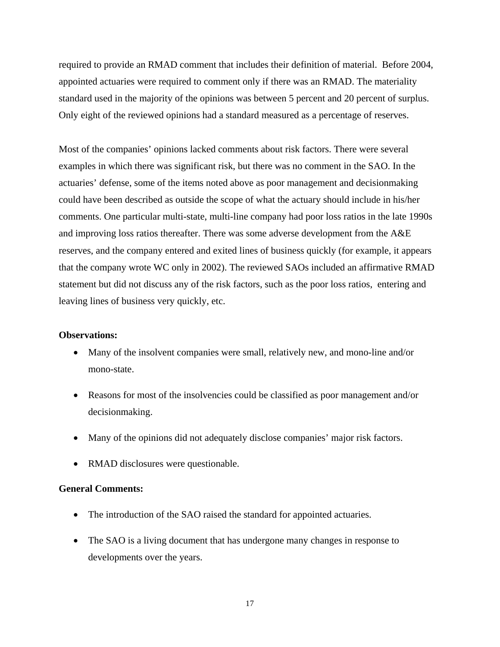required to provide an RMAD comment that includes their definition of material. Before 2004, appointed actuaries were required to comment only if there was an RMAD. The materiality standard used in the majority of the opinions was between 5 percent and 20 percent of surplus. Only eight of the reviewed opinions had a standard measured as a percentage of reserves.

Most of the companies' opinions lacked comments about risk factors. There were several examples in which there was significant risk, but there was no comment in the SAO. In the actuaries' defense, some of the items noted above as poor management and decisionmaking could have been described as outside the scope of what the actuary should include in his/her comments. One particular multi-state, multi-line company had poor loss ratios in the late 1990s and improving loss ratios thereafter. There was some adverse development from the A&E reserves, and the company entered and exited lines of business quickly (for example, it appears that the company wrote WC only in 2002). The reviewed SAOs included an affirmative RMAD statement but did not discuss any of the risk factors, such as the poor loss ratios, entering and leaving lines of business very quickly, etc.

#### **Observations:**

- Many of the insolvent companies were small, relatively new, and mono-line and/or mono-state.
- Reasons for most of the insolvencies could be classified as poor management and/or decisionmaking.
- Many of the opinions did not adequately disclose companies' major risk factors.
- RMAD disclosures were questionable.

#### **General Comments:**

- The introduction of the SAO raised the standard for appointed actuaries.
- The SAO is a living document that has undergone many changes in response to developments over the years.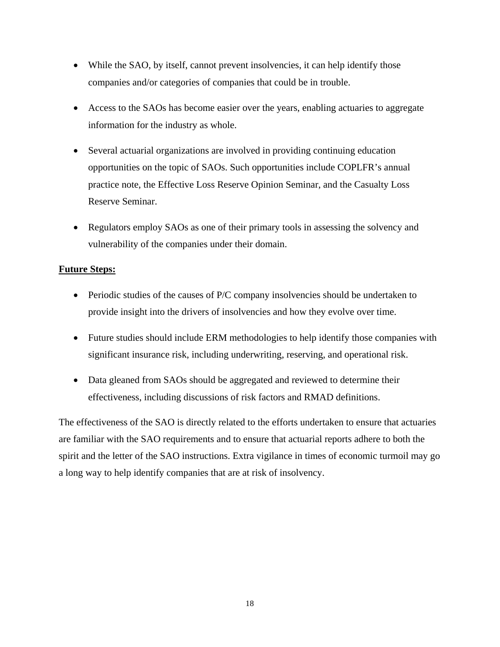- While the SAO, by itself, cannot prevent insolvencies, it can help identify those companies and/or categories of companies that could be in trouble.
- Access to the SAOs has become easier over the years, enabling actuaries to aggregate information for the industry as whole.
- Several actuarial organizations are involved in providing continuing education opportunities on the topic of SAOs. Such opportunities include COPLFR's annual practice note, the Effective Loss Reserve Opinion Seminar, and the Casualty Loss Reserve Seminar.
- Regulators employ SAOs as one of their primary tools in assessing the solvency and vulnerability of the companies under their domain.

#### **Future Steps:**

- Periodic studies of the causes of P/C company insolvencies should be undertaken to provide insight into the drivers of insolvencies and how they evolve over time.
- Future studies should include ERM methodologies to help identify those companies with significant insurance risk, including underwriting, reserving, and operational risk.
- Data gleaned from SAOs should be aggregated and reviewed to determine their effectiveness, including discussions of risk factors and RMAD definitions.

The effectiveness of the SAO is directly related to the efforts undertaken to ensure that actuaries are familiar with the SAO requirements and to ensure that actuarial reports adhere to both the spirit and the letter of the SAO instructions. Extra vigilance in times of economic turmoil may go a long way to help identify companies that are at risk of insolvency.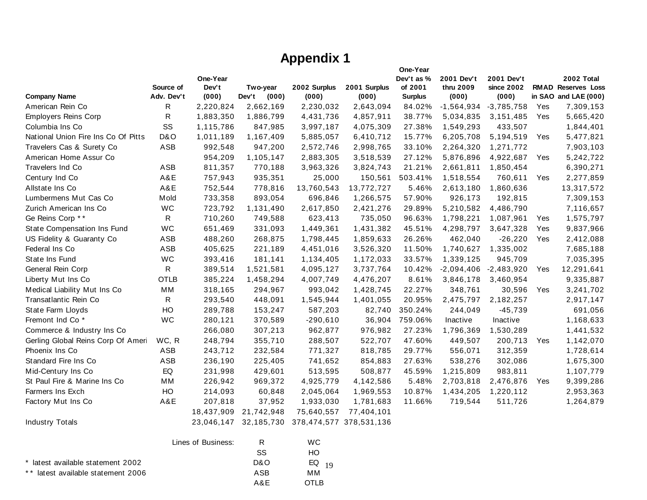## **Appendix 1**

|                                     |                         | One-Year<br>Dev't |                            |                       |                         | One-Year<br>Dev't as %<br>of 2001 | 2001 Dev't         | 2001 Dev't          |     | 2002 Total                                        |
|-------------------------------------|-------------------------|-------------------|----------------------------|-----------------------|-------------------------|-----------------------------------|--------------------|---------------------|-----|---------------------------------------------------|
| <b>Company Name</b>                 | Source of<br>Adv. Dev't | (000)             | Two-year<br>(000)<br>Dev't | 2002 Surplus<br>(000) | 2001 Surplus<br>(000)   | <b>Surplus</b>                    | thru 2009<br>(000) | since 2002<br>(000) |     | <b>RMAD Reserves Loss</b><br>in SAO and LAE (000) |
| American Rein Co                    | R                       | 2,220,824         | 2,662,169                  | 2,230,032             | 2,643,094               | 84.02%                            | $-1,564,934$       | $-3,785,758$        | Yes | 7,309,153                                         |
| <b>Employers Reins Corp</b>         | $\mathsf R$             | 1,883,350         | 1,886,799                  | 4,431,736             | 4,857,911               | 38.77%                            | 5,034,835          | 3,151,485           | Yes | 5,665,420                                         |
| Columbia Ins Co                     | SS                      | 1,115,786         | 847,985                    | 3,997,187             | 4,075,309               | 27.38%                            | 1,549,293          | 433,507             |     | 1,844,401                                         |
| National Union Fire Ins Co Of Pitts | D&O                     | 1,011,189         | 1,167,409                  | 5,885,057             | 6,410,712               | 15.77%                            | 6,205,708          | 5,194,519           | Yes | 5,477,821                                         |
| Travelers Cas & Surety Co           | ASB                     | 992,548           | 947,200                    | 2,572,746             | 2,998,765               | 33.10%                            | 2,264,320          | 1,271,772           |     | 7,903,103                                         |
| American Home Assur Co              |                         | 954,209           | 1,105,147                  | 2,883,305             | 3,518,539               | 27.12%                            | 5,876,896          | 4,922,687           | Yes | 5,242,722                                         |
| Travelers Ind Co                    | ASB                     | 811,357           | 770,188                    | 3,963,326             | 3,824,743               | 21.21%                            | 2,661,811          | 1,850,454           |     | 6,390,271                                         |
| Century Ind Co                      | A&E                     | 757,943           | 935,351                    | 25,000                | 150,561                 | 503.41%                           | 1,518,554          | 760,611             | Yes | 2,277,859                                         |
| Allstate Ins Co                     | A&E                     | 752,544           | 778,816                    | 13,760,543            | 13,772,727              | 5.46%                             | 2,613,180          | 1,860,636           |     | 13,317,572                                        |
| Lumbermens Mut Cas Co               | Mold                    | 733,358           | 893,054                    | 696,846               | 1,266,575               | 57.90%                            | 926,173            | 192,815             |     | 7,309,153                                         |
| Zurich American Ins Co              | <b>WC</b>               | 723,792           | 1,131,490                  | 2,617,850             | 2,421,276               | 29.89%                            | 5,210,582          | 4,486,790           |     | 7,116,657                                         |
| Ge Reins Corp **                    | R                       | 710,260           | 749,588                    | 623,413               | 735,050                 | 96.63%                            | 1,798,221          | 1,087,961           | Yes | 1,575,797                                         |
| State Compensation Ins Fund         | <b>WC</b>               | 651,469           | 331,093                    | 1,449,361             | 1,431,382               | 45.51%                            | 4,298,797          | 3,647,328           | Yes | 9,837,966                                         |
| US Fidelity & Guaranty Co           | ASB                     | 488,260           | 268,875                    | 1,798,445             | 1,859,633               | 26.26%                            | 462,040            | $-26,220$           | Yes | 2,412,088                                         |
| Federal Ins Co                      | ASB                     | 405,625           | 221,189                    | 4,451,016             | 3,526,320               | 11.50%                            | 1,740,627          | 1,335,002           |     | 7,685,188                                         |
| State Ins Fund                      | WC                      | 393,416           | 181,141                    | 1,134,405             | 1,172,033               | 33.57%                            | 1,339,125          | 945,709             |     | 7,035,395                                         |
| General Rein Corp                   | R                       | 389,514           | 1,521,581                  | 4,095,127             | 3,737,764               | 10.42%                            | $-2,094,406$       | $-2,483,920$        | Yes | 12,291,641                                        |
| Liberty Mut Ins Co                  | <b>OTLB</b>             | 385,224           | 1,458,294                  | 4,007,749             | 4,476,207               | 8.61%                             | 3,846,178          | 3,460,954           |     | 9,335,887                                         |
| Medical Liability Mut Ins Co        | MМ                      | 318,165           | 294,967                    | 993,042               | 1,428,745               | 22.27%                            | 348,761            | 30,596              | Yes | 3,241,702                                         |
| Transatlantic Rein Co               | R                       | 293,540           | 448,091                    | 1,545,944             | 1,401,055               | 20.95%                            | 2,475,797          | 2,182,257           |     | 2,917,147                                         |
| State Farm Lloyds                   | HO                      | 289,788           | 153,247                    | 587,203               | 82,740                  | 350.24%                           | 244,049            | $-45,739$           |     | 691,056                                           |
| Fremont Ind Co <sup>*</sup>         | <b>WC</b>               | 280,121           | 370,589                    | $-290,610$            | 36,904                  | 759.06%                           | Inactive           | Inactive            |     | 1,168,633                                         |
| Commerce & Industry Ins Co          |                         | 266,080           | 307,213                    | 962,877               | 976,982                 | 27.23%                            | 1,796,369          | 1,530,289           |     | 1,441,532                                         |
| Gerling Global Reins Corp Of Ameri  | WC, R                   | 248,794           | 355,710                    | 288,507               | 522,707                 | 47.60%                            | 449,507            | 200,713             | Yes | 1,142,070                                         |
| Phoenix Ins Co                      | <b>ASB</b>              | 243,712           | 232,584                    | 771,327               | 818,785                 | 29.77%                            | 556,071            | 312,359             |     | 1,728,614                                         |
| Standard Fire Ins Co                | ASB                     | 236,190           | 225,405                    | 741,652               | 854,883                 | 27.63%                            | 538,276            | 302,086             |     | 1,675,300                                         |
| Mid-Century Ins Co                  | EQ                      | 231,998           | 429,601                    | 513,595               | 508,877                 | 45.59%                            | 1,215,809          | 983,811             |     | 1,107,779                                         |
| St Paul Fire & Marine Ins Co        | MM                      | 226,942           | 969,372                    | 4,925,779             | 4,142,586               | 5.48%                             | 2,703,818          | 2,476,876           | Yes | 9,399,286                                         |
| Farmers Ins Exch                    | HO                      | 214,093           | 60,848                     | 2,045,064             | 1,969,553               | 10.87%                            | 1,434,205          | 1,220,112           |     | 2,953,363                                         |
| Factory Mut Ins Co                  | A&E                     | 207,818           | 37,952                     | 1,933,030             | 1,781,683               | 11.66%                            | 719,544            | 511,726             |     | 1,264,879                                         |
|                                     |                         | 18,437,909        | 21,742,948                 | 75,640,557            | 77,404,101              |                                   |                    |                     |     |                                                   |
| <b>Industry Totals</b>              |                         | 23,046,147        | 32,185,730                 |                       | 378,474,577 378,531,136 |                                   |                    |                     |     |                                                   |
|                                     | Lines of Business:      |                   | $\mathsf{R}$               | WC                    |                         |                                   |                    |                     |     |                                                   |
|                                     |                         |                   | SS                         | HO                    |                         |                                   |                    |                     |     |                                                   |
| * latest available statement 2002   |                         |                   | <b>D&amp;O</b>             | ${\sf EQ}$<br>19      |                         |                                   |                    |                     |     |                                                   |

 $MM$ 

\*\* latest available statement 2006 ASB MM

A&E OTLB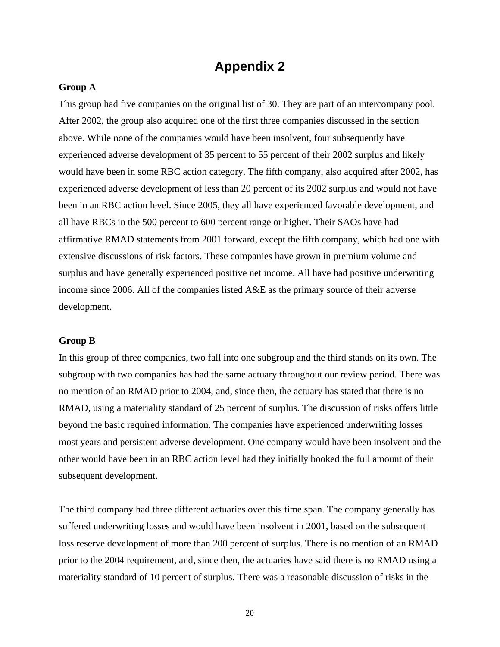### **Appendix 2**

#### **Group A**

This group had five companies on the original list of 30. They are part of an intercompany pool. After 2002, the group also acquired one of the first three companies discussed in the section above. While none of the companies would have been insolvent, four subsequently have experienced adverse development of 35 percent to 55 percent of their 2002 surplus and likely would have been in some RBC action category. The fifth company, also acquired after 2002, has experienced adverse development of less than 20 percent of its 2002 surplus and would not have been in an RBC action level. Since 2005, they all have experienced favorable development, and all have RBCs in the 500 percent to 600 percent range or higher. Their SAOs have had affirmative RMAD statements from 2001 forward, except the fifth company, which had one with extensive discussions of risk factors. These companies have grown in premium volume and surplus and have generally experienced positive net income. All have had positive underwriting income since 2006. All of the companies listed A&E as the primary source of their adverse development.

#### **Group B**

In this group of three companies, two fall into one subgroup and the third stands on its own. The subgroup with two companies has had the same actuary throughout our review period. There was no mention of an RMAD prior to 2004, and, since then, the actuary has stated that there is no RMAD, using a materiality standard of 25 percent of surplus. The discussion of risks offers little beyond the basic required information. The companies have experienced underwriting losses most years and persistent adverse development. One company would have been insolvent and the other would have been in an RBC action level had they initially booked the full amount of their subsequent development.

The third company had three different actuaries over this time span. The company generally has suffered underwriting losses and would have been insolvent in 2001, based on the subsequent loss reserve development of more than 200 percent of surplus. There is no mention of an RMAD prior to the 2004 requirement, and, since then, the actuaries have said there is no RMAD using a materiality standard of 10 percent of surplus. There was a reasonable discussion of risks in the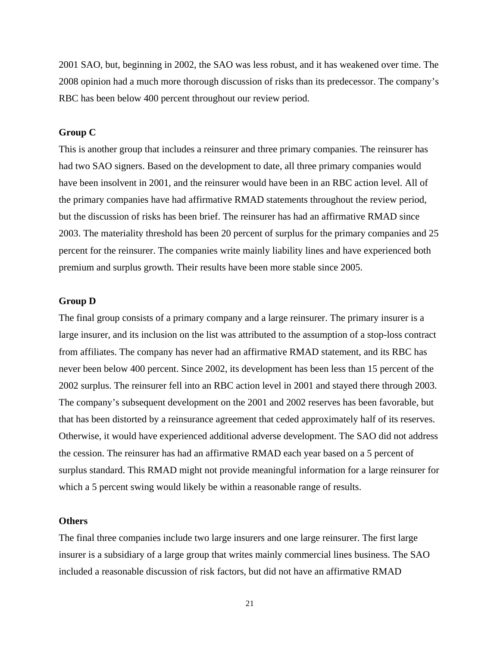2001 SAO, but, beginning in 2002, the SAO was less robust, and it has weakened over time. The 2008 opinion had a much more thorough discussion of risks than its predecessor. The company's RBC has been below 400 percent throughout our review period.

#### **Group C**

This is another group that includes a reinsurer and three primary companies. The reinsurer has had two SAO signers. Based on the development to date, all three primary companies would have been insolvent in 2001, and the reinsurer would have been in an RBC action level. All of the primary companies have had affirmative RMAD statements throughout the review period, but the discussion of risks has been brief. The reinsurer has had an affirmative RMAD since 2003. The materiality threshold has been 20 percent of surplus for the primary companies and 25 percent for the reinsurer. The companies write mainly liability lines and have experienced both premium and surplus growth. Their results have been more stable since 2005.

#### **Group D**

The final group consists of a primary company and a large reinsurer. The primary insurer is a large insurer, and its inclusion on the list was attributed to the assumption of a stop-loss contract from affiliates. The company has never had an affirmative RMAD statement, and its RBC has never been below 400 percent. Since 2002, its development has been less than 15 percent of the 2002 surplus. The reinsurer fell into an RBC action level in 2001 and stayed there through 2003. The company's subsequent development on the 2001 and 2002 reserves has been favorable, but that has been distorted by a reinsurance agreement that ceded approximately half of its reserves. Otherwise, it would have experienced additional adverse development. The SAO did not address the cession. The reinsurer has had an affirmative RMAD each year based on a 5 percent of surplus standard. This RMAD might not provide meaningful information for a large reinsurer for which a 5 percent swing would likely be within a reasonable range of results.

#### **Others**

The final three companies include two large insurers and one large reinsurer. The first large insurer is a subsidiary of a large group that writes mainly commercial lines business. The SAO included a reasonable discussion of risk factors, but did not have an affirmative RMAD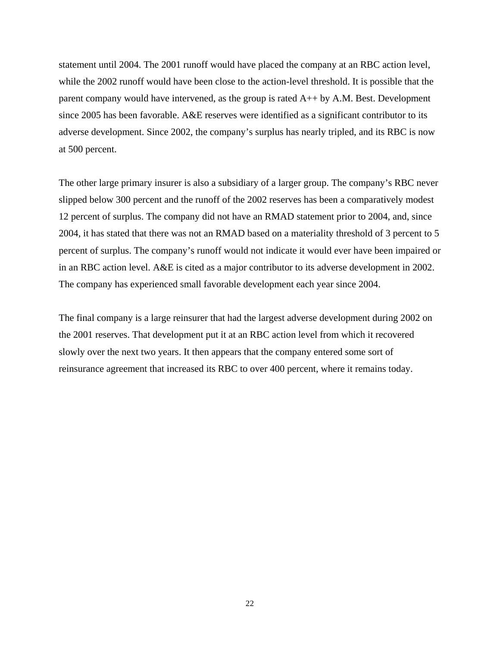statement until 2004. The 2001 runoff would have placed the company at an RBC action level, while the 2002 runoff would have been close to the action-level threshold. It is possible that the parent company would have intervened, as the group is rated A++ by A.M. Best. Development since 2005 has been favorable. A&E reserves were identified as a significant contributor to its adverse development. Since 2002, the company's surplus has nearly tripled, and its RBC is now at 500 percent.

The other large primary insurer is also a subsidiary of a larger group. The company's RBC never slipped below 300 percent and the runoff of the 2002 reserves has been a comparatively modest 12 percent of surplus. The company did not have an RMAD statement prior to 2004, and, since 2004, it has stated that there was not an RMAD based on a materiality threshold of 3 percent to 5 percent of surplus. The company's runoff would not indicate it would ever have been impaired or in an RBC action level. A&E is cited as a major contributor to its adverse development in 2002. The company has experienced small favorable development each year since 2004.

The final company is a large reinsurer that had the largest adverse development during 2002 on the 2001 reserves. That development put it at an RBC action level from which it recovered slowly over the next two years. It then appears that the company entered some sort of reinsurance agreement that increased its RBC to over 400 percent, where it remains today.